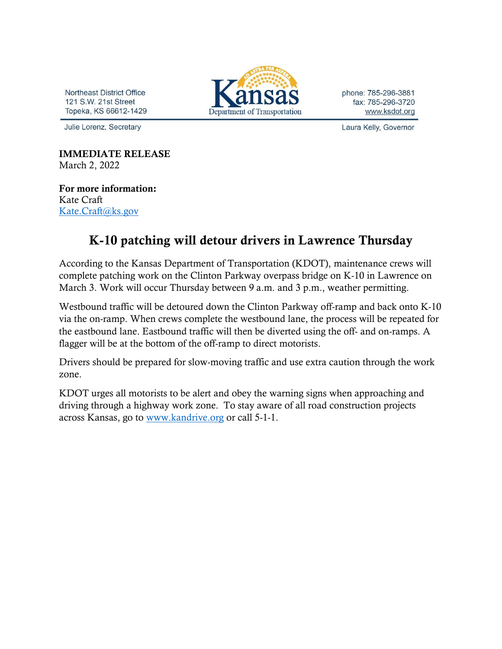Northeast District Office 121 S.W. 21st Street Topeka, KS 66612-1429

Julie Lorenz, Secretary

Department of Transportation

phone: 785-296-3881 fax: 785-296-3720 www.ksdot.org

Laura Kelly, Governor

IMMEDIATE RELEASE March 2, 2022

For more information: Kate Craft [Kate.Craft@ks.gov](mailto:Kate.Craft@ks.gov)

## K-10 patching will detour drivers in Lawrence Thursday

According to the Kansas Department of Transportation (KDOT), maintenance crews will complete patching work on the Clinton Parkway overpass bridge on K-10 in Lawrence on March 3. Work will occur Thursday between 9 a.m. and 3 p.m., weather permitting.

Westbound traffic will be detoured down the Clinton Parkway off-ramp and back onto K-10 via the on-ramp. When crews complete the westbound lane, the process will be repeated for the eastbound lane. Eastbound traffic will then be diverted using the off- and on-ramps. A flagger will be at the bottom of the off-ramp to direct motorists.

Drivers should be prepared for slow-moving traffic and use extra caution through the work zone.

KDOT urges all motorists to be alert and obey the warning signs when approaching and driving through a highway work zone. To stay aware of all road construction projects across Kansas, go to [www.kandrive.org](https://gcc02.safelinks.protection.outlook.com/?url=http%3A%2F%2Fwww.kandrive.org%2F&data=04%7C01%7CKim.Stich%40ks.gov%7Cf043f0ed10d04bba356408d8df453254%7Cdcae8101c92d480cbc43c6761ccccc5a%7C0%7C0%7C637504836500693890%7CUnknown%7CTWFpbGZsb3d8eyJWIjoiMC4wLjAwMDAiLCJQIjoiV2luMzIiLCJBTiI6Ik1haWwiLCJXVCI6Mn0%3D%7C1000&sdata=Ysu6e8GGT9sXtP9xiXKxAvTnZI%2ByfcbKbkIc3oPIRGY%3D&reserved=0) or call 5-1-1.